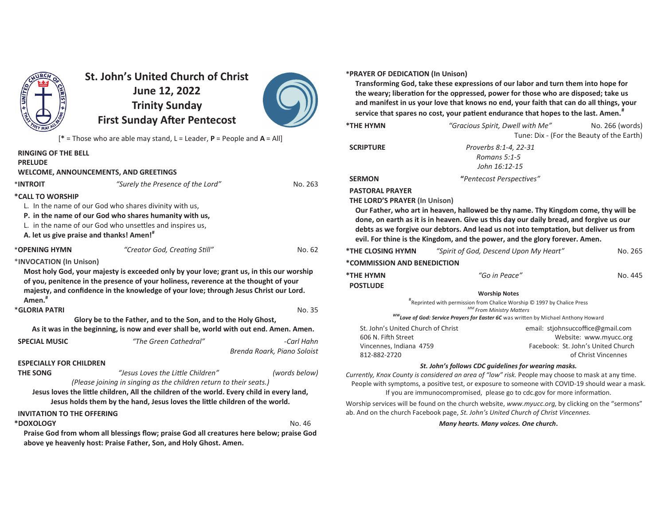

# **St. John's United Church of ChristJune 12, 2022 Trinity SundayFirst Sunday After Pentecost**



[**\*** = Those who are able may stand, L = Leader, **P** = People and **A** = All]

| <b>RINGING OF THE BELL</b><br><b>PRELUDE</b> |                                                                                                                                                                               |                             |
|----------------------------------------------|-------------------------------------------------------------------------------------------------------------------------------------------------------------------------------|-----------------------------|
|                                              | <b>WELCOME, ANNOUNCEMENTS, AND GREETINGS</b>                                                                                                                                  |                             |
| *INTROIT                                     | "Surely the Presence of the Lord"                                                                                                                                             | No. 263                     |
| *CALL TO WORSHIP                             |                                                                                                                                                                               |                             |
|                                              | L. In the name of our God who shares divinity with us,                                                                                                                        |                             |
|                                              | P. in the name of our God who shares humanity with us,                                                                                                                        |                             |
|                                              | L. in the name of our God who unsettles and inspires us,                                                                                                                      |                             |
| A. let us give praise and thanks! Amen!"     |                                                                                                                                                                               |                             |
| *OPENING HYMN                                | "Creator God, Creating Still"                                                                                                                                                 | No. 62                      |
| *INVOCATION (In Unison)                      |                                                                                                                                                                               |                             |
| $A$ men. $#$                                 | of you, penitence in the presence of your holiness, reverence at the thought of your<br>majesty, and confidence in the knowledge of your love; through Jesus Christ our Lord. |                             |
| *GLORIA PATRI                                |                                                                                                                                                                               | No. 35                      |
|                                              | Glory be to the Father, and to the Son, and to the Holy Ghost,<br>As it was in the beginning, is now and ever shall be, world with out end. Amen. Amen.                       |                             |
| <b>SPECIAL MUSIC</b>                         | "The Green Cathedral"                                                                                                                                                         | -Carl Hahn                  |
|                                              |                                                                                                                                                                               | Brenda Roark, Piano Soloist |
| <b>ESPECIALLY FOR CHILDREN</b>               |                                                                                                                                                                               |                             |
| <b>THE SONG</b>                              | "Jesus Loves the Little Children"                                                                                                                                             | (words below)               |
|                                              | (Please joining in singing as the children return to their seats.)                                                                                                            |                             |
|                                              | Jesus loves the little children, All the children of the world. Every child in every land,                                                                                    |                             |
|                                              | Jesus holds them by the hand, Jesus loves the little children of the world.                                                                                                   |                             |
| <b>INVITATION TO THE OFFERING</b>            |                                                                                                                                                                               |                             |
| *DOXOLOGY                                    |                                                                                                                                                                               | No. 46                      |
|                                              | Praise God from whom all blessings flow; praise God all creatures here below; praise God                                                                                      |                             |

**above ye heavenly host: Praise Father, Son, and Holy Ghost. Amen.**

#### **\*PRAYER OF DEDICATION (In Unison)**

 **Transforming God, take these expressions of our labor and turn them into hope for**the weary; liberation for the oppressed, power for those who are disposed; take us **and manifest in us your love that knows no end, your faith that can do all things, your** $s$ ervice that spares no cost, your patient endurance that hopes to the last. Amen.<sup>#</sup>

| *THE HYMN                                                                                            | "Gracious Spirit, Dwell with Me"                                                                                                                                                                                                                                                                                                                      | No. 266 (words)<br>Tune: Dix - (For the Beauty of the Earth)                                                             |  |
|------------------------------------------------------------------------------------------------------|-------------------------------------------------------------------------------------------------------------------------------------------------------------------------------------------------------------------------------------------------------------------------------------------------------------------------------------------------------|--------------------------------------------------------------------------------------------------------------------------|--|
| <b>SCRIPTURE</b>                                                                                     | Proverbs 8:1-4, 22-31<br>Romans 5:1-5<br>John 16:12-15                                                                                                                                                                                                                                                                                                |                                                                                                                          |  |
| <b>SERMON</b>                                                                                        | "Pentecost Perspectives"                                                                                                                                                                                                                                                                                                                              |                                                                                                                          |  |
| <b>PASTORAL PRAYER</b><br><b>THE LORD'S PRAYER (In Unison)</b>                                       | Our Father, who art in heaven, hallowed be thy name. Thy Kingdom come, thy will be<br>done, on earth as it is in heaven. Give us this day our daily bread, and forgive us our<br>debts as we forgive our debtors. And lead us not into temptation, but deliver us from<br>evil. For thine is the Kingdom, and the power, and the glory forever. Amen. |                                                                                                                          |  |
| <b>*THE CLOSING HYMN</b>                                                                             | "Spirit of God, Descend Upon My Heart"                                                                                                                                                                                                                                                                                                                | No. 265                                                                                                                  |  |
| *COMMISSION AND BENEDICTION                                                                          |                                                                                                                                                                                                                                                                                                                                                       |                                                                                                                          |  |
| *THE HYMN<br><b>POSTLUDE</b>                                                                         | "Go in Peace"                                                                                                                                                                                                                                                                                                                                         | No. 445                                                                                                                  |  |
|                                                                                                      | <b>Worship Notes</b>                                                                                                                                                                                                                                                                                                                                  |                                                                                                                          |  |
|                                                                                                      | "Reprinted with permission from Chalice Worship © 1997 by Chalice Press<br>MM From Ministry Matters                                                                                                                                                                                                                                                   |                                                                                                                          |  |
|                                                                                                      | <sup>WW</sup> Love of God: Service Prayers for Easter 6C was written by Michael Anthony Howard                                                                                                                                                                                                                                                        |                                                                                                                          |  |
| St. John's United Church of Christ<br>606 N. Fifth Street<br>Vincennes, Indiana 4759<br>812-882-2720 |                                                                                                                                                                                                                                                                                                                                                       | email: stjohnsuccoffice@gmail.com<br>Website: www.myucc.org<br>Facebook: St. John's United Church<br>of Christ Vincennes |  |
|                                                                                                      | St. John's follows CDC guidelines for wearing masks.                                                                                                                                                                                                                                                                                                  |                                                                                                                          |  |
|                                                                                                      | Currently, Knox County is considered an area of "low" risk. People may choose to mask at any time.<br><b>B</b> college the contract of contract and contract the contract of the COMP 40 that the college                                                                                                                                             |                                                                                                                          |  |

People with symptoms, a positive test, or exposure to someone with COVID-19 should wear a mask.

If you are immunocompromised, please go to cdc.gov for more information.

Worship services will be found on the church website, *www.myucc.org*, by clicking on the "sermons" ab. And on the church Facebook page, *St. John's United Church of Christ Vincennes.*

*Many hearts. Many voices. One church***.**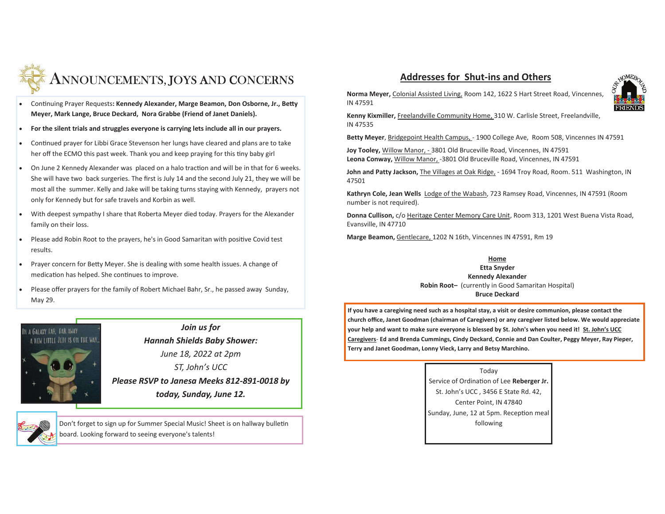

- Continuing Prayer Requests: Kennedy Alexander, Marge Beamon, Don Osborne, Jr., Betty **Meyer, Mark Lange, Bruce Deckard, Nora Grabbe (Friend of Janet Daniels).**
- · **For the silent trials and struggles everyone is carrying lets include all in our prayers.**
- Continued prayer for Libbi Grace Stevenson her lungs have cleared and plans are to take her off the ECMO this past week. Thank you and keep praying for this tiny baby girl
- On June 2 Kennedy Alexander was placed on a halo traction and will be in that for 6 weeks. She will have two back surgeries. The first is July 14 and the second July 21, they we will be most all the summer. Kelly and Jake will be taking turns staying with Kennedy, prayers not only for Kennedy but for safe travels and Korbin as well.
- · With deepest sympathy I share that Roberta Meyer died today. Prayers for the Alexander family on their loss.
- Please add Robin Root to the prayers, he's in Good Samaritan with positive Covid test results.
- Prayer concern for Betty Meyer. She is dealing with some health issues. A change of medication has helped. She continues to improve.
- · Please offer prayers for the family of Robert Michael Bahr, Sr., he passed away Sunday, May 29.



*Join us for Hannah Shields Baby Shower: June 18, 2022 at 2pmST, John's UCC Please RSVP to Janesa Meeks 812-891-0018 by today, Sunday, June 12.*

Don't forget to sign up for Summer Special Music! Sheet is on hallway bulletin board. Looking forward to seeing everyone's talents!

## **Addresses for Shut-ins and Others**



**Norma Meyer,** Colonial Assisted Living, Room 142, 1622 S Hart Street Road, Vincennes, IN 47591

**Kenny Kixmiller,** Freelandville Community Home, 310 W. Carlisle Street, Freelandville, IN 47535

**Betty Meyer**, Bridgepoint Health Campus, - 1900 College Ave, Room 508, Vincennes IN 47591

**Joy Tooley,** Willow Manor, - 3801 Old Bruceville Road, Vincennes, IN 47591**Leona Conway,** Willow Manor, -3801 Old Bruceville Road, Vincennes, IN 47591

**John and Patty Jackson,** The Villages at Oak Ridge, - 1694 Troy Road, Room. 511 Washington, IN 47501

**Kathryn Cole, Jean Wells** Lodge of the Wabash, 723 Ramsey Road, Vincennes, IN 47591 (Room number is not required).

**Donna Cullison,** c/o Heritage Center Memory Care Unit, Room 313, 1201 West Buena Vista Road,Evansville, IN 47710

**Marge Beamon,** Gentlecare, 1202 N 16th, Vincennes IN 47591, Rm 19

**Home Etta Snyder Kennedy Alexander Robin Root–** (currently in Good Samaritan Hospital) **Bruce Deckard**

**If you have a caregiving need such as a hospital stay, a visit or desire communion, please contact the church office, Janet Goodman (chairman of Caregivers) or any caregiver listed below. We would appreciate your help and want to make sure everyone is blessed by St. John's when you need it! St. John's UCC Caregivers**- **Ed and Brenda Cummings, Cindy Deckard, Connie and Dan Coulter, Peggy Meyer, Ray Pieper, Terry and Janet Goodman, Lonny Vieck, Larry and Betsy Marchino.** 

#### Today

Service of Ordination of Lee Reberger Jr. St. John's UCC , 3456 E State Rd. 42, Center Point, IN 47840Sunday, June, 12 at 5pm. Reception meal following